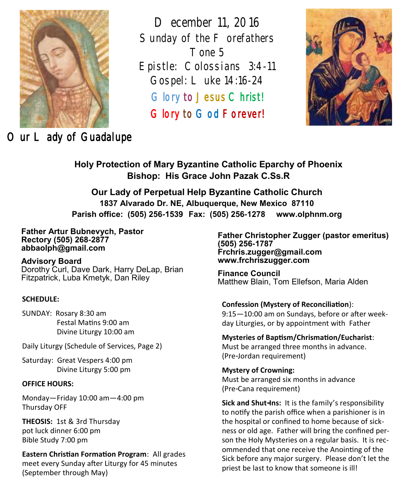

*December 11, 2016*  Sunday of the F orefathers *Tone 5 Epistle: Colossians 3:4-11 Gospel: Luke 14:16-24*  Glory to Jesus Christ! Glory to God Forever!



*Our Lady of Guadalupe* 

**Holy Protection of Mary Byzantine Catholic Eparchy of Phoenix Bishop: His Grace John Pazak C.Ss.R**

**Our Lady of Perpetual Help Byzantine Catholic Church 1837 Alvarado Dr. NE, Albuquerque, New Mexico 87110 Parish office: (505) 256-1539 Fax: (505) 256-1278 www.olphnm.org**

**Father Artur Bubnevych, Pastor Rectory (505) 268-2877 abbaolph@gmail.com** 

**Advisory Board**  Dorothy Curl, Dave Dark, Harry DeLap, Brian Fitzpatrick, Luba Kmetyk, Dan Riley

#### **SCHEDULE:**

SUNDAY: Rosary 8:30 am Festal Matins 9:00 am Divine Liturgy 10:00 am

Daily Liturgy (Schedule of Services, Page 2)

Saturday: Great Vespers 4:00 pm Divine Liturgy 5:00 pm

#### **OFFICE HOURS:**

Monday—Friday 10:00 am—4:00 pm Thursday OFF

**THEOSIS:** 1st & 3rd Thursday pot luck dinner 6:00 pm Bible Study 7:00 pm

**Eastern Christian Formation Program**: All grades meet every Sunday after Liturgy for 45 minutes (September through May)

**Father Christopher Zugger (pastor emeritus) (505) 256-1787 Frchris.zugger@gmail.com www.frchriszugger.com** 

**Finance Council**  Matthew Blain, Tom Ellefson, Maria Alden

# **Confession (Mystery of Reconciliation**):

9:15—10:00 am on Sundays, before or after weekday Liturgies, or by appointment with Father

**Mysteries of Baptism/Chrismation/Eucharist**: Must be arranged three months in advance. (Pre-Jordan requirement)

**Mystery of Crowning:**  Must be arranged six months in advance (Pre-Cana requirement)

**Sick and Shut-Ins:** It is the family's responsibility to notify the parish office when a parishioner is in the hospital or confined to home because of sickness or old age. Father will bring the confined person the Holy Mysteries on a regular basis. It is recommended that one receive the Anointing of the Sick before any major surgery. Please don't let the priest be last to know that someone is ill!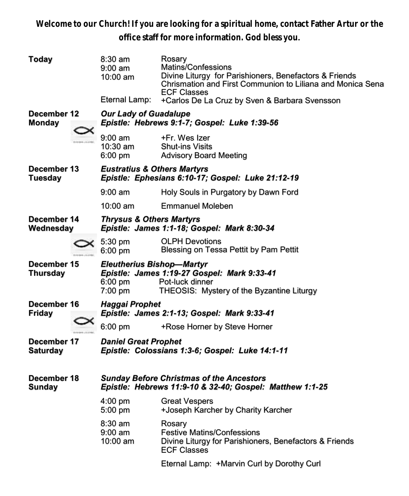**Welcome to our Church! If you are looking for a spiritual home, contact Father Artur or the office staff for more information. God bless you.**

| Today                          |  | $8:30$ am<br>$9:00 \text{ am}$<br>10:00 am<br>Eternal Lamp:                                                                                                             | Rosary<br>Matins/Confessions<br>Divine Liturgy for Parishioners, Benefactors & Friends<br>Chrismation and First Communion to Liliana and Monica Sena<br><b>ECF Classes</b><br>+Carlos De La Cruz by Sven & Barbara Svensson |  |  |  |
|--------------------------------|--|-------------------------------------------------------------------------------------------------------------------------------------------------------------------------|-----------------------------------------------------------------------------------------------------------------------------------------------------------------------------------------------------------------------------|--|--|--|
| December 12<br><b>Monday</b>   |  | <b>Our Lady of Guadalupe</b><br>Epistle: Hebrews 9:1-7; Gospel: Luke 1:39-56                                                                                            |                                                                                                                                                                                                                             |  |  |  |
|                                |  | 9:00 am<br>10:30 am<br>$6:00 \text{ pm}$                                                                                                                                | +Fr. Wes Izer<br><b>Shut-ins Visits</b><br><b>Advisory Board Meeting</b>                                                                                                                                                    |  |  |  |
| December 13<br><b>Tuesday</b>  |  | <b>Eustratius &amp; Others Martyrs</b><br>Epistle: Ephesians 6:10-17; Gospel: Luke 21:12-19                                                                             |                                                                                                                                                                                                                             |  |  |  |
|                                |  | $9:00 \text{ am}$                                                                                                                                                       | Holy Souls in Purgatory by Dawn Ford                                                                                                                                                                                        |  |  |  |
|                                |  | $10:00$ am                                                                                                                                                              | <b>Emmanuel Moleben</b>                                                                                                                                                                                                     |  |  |  |
| December 14<br>Wednesday       |  | <b>Thrysus &amp; Others Martyrs</b><br>Epistle: James 1:1-18; Gospel: Mark 8:30-34                                                                                      |                                                                                                                                                                                                                             |  |  |  |
|                                |  | 5:30 pm<br>6:00 pm                                                                                                                                                      | <b>OLPH Devotions</b><br>Blessing on Tessa Pettit by Pam Pettit                                                                                                                                                             |  |  |  |
| December 15<br><b>Thursday</b> |  | <b>Eleutherius Bishop-Martyr</b><br>Epistle: James 1:19-27 Gospel: Mark 9:33-41<br>$6:00$ pm<br>Pot-luck dinner<br>7:00 pm<br>THEOSIS: Mystery of the Byzantine Liturgy |                                                                                                                                                                                                                             |  |  |  |
| December 16                    |  | <b>Haggai Prophet</b>                                                                                                                                                   |                                                                                                                                                                                                                             |  |  |  |
| <b>Friday</b>                  |  | Epistle: James 2:1-13; Gospel: Mark 9:33-41                                                                                                                             |                                                                                                                                                                                                                             |  |  |  |
|                                |  | $6:00$ pm                                                                                                                                                               | +Rose Horner by Steve Horner                                                                                                                                                                                                |  |  |  |
| December 17<br><b>Saturday</b> |  | <b>Daniel Great Prophet</b><br>Epistle: Colossians 1:3-6; Gospel: Luke 14:1-11                                                                                          |                                                                                                                                                                                                                             |  |  |  |
| December 18<br>Sundav          |  | <b>Sunday Before Christmas of the Ancestors</b><br>Epistle: Hebrews 11:9-10 & 32-40; Gospel: Matthew 1:1-25                                                             |                                                                                                                                                                                                                             |  |  |  |
|                                |  | $4:00 \text{ pm}$<br>5:00 pm                                                                                                                                            | <b>Great Vespers</b><br>+Joseph Karcher by Charity Karcher                                                                                                                                                                  |  |  |  |
|                                |  | 8:30 am<br>$9:00 \text{ am}$<br>$10:00$ am                                                                                                                              | Rosary<br><b>Festive Matins/Confessions</b><br>Divine Liturgy for Parishioners, Benefactors & Friends<br><b>ECF Classes</b>                                                                                                 |  |  |  |
|                                |  |                                                                                                                                                                         | Eternal Lamp: +Marvin Curl by Dorothy Curl                                                                                                                                                                                  |  |  |  |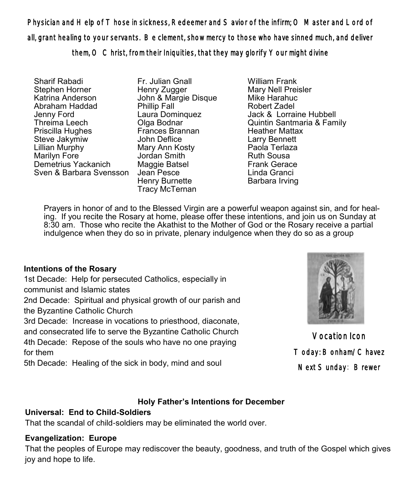Physician and Help of Those in sickness, Redeemer and Savior of the infirm; O Master and Lord of all, grant healing to your servants. Be clement, show mercy to those who have sinned much, and deliver them, O Christ, from their Iniquities, that they may glorify Your might divine

Sharif Rabadi Stephen Horner Katrina Anderson Abraham Haddad Jenny Ford Threima Leech Priscilla Hughes Steve Jakymiw Lillian Murphy Marilyn Fore<sup>1</sup> Demetrius Yackanich Sven & Barbara Svensson

Fr. Julian Gnall Henry Zugger John & Margie Disque Phillip Fall Laura Dominquez Olga Bodnar Frances Brannan John Deflice Mary Ann Kosty Jordan Smith Maggie Batsel Jean Pesce Henry Burnette Tracy McTernan

William Frank Mary Nell Preisler Mike Harahuc Robert Zadel Jack & Lorraine Hubbell Quintin Santmaria & Family Heather Mattax Larry Bennett Paola Terlaza Ruth Sousa Frank Gerace Linda Granci Barbara Irving

Prayers in honor of and to the Blessed Virgin are a powerful weapon against sin, and for healing. If you recite the Rosary at home, please offer these intentions, and join us on Sunday at 8:30 am. Those who recite the Akathist to the Mother of God or the Rosary receive a partial indulgence when they do so in private, plenary indulgence when they do so as a group

# **Intentions of the Rosary**

1st Decade: Help for persecuted Catholics, especially in communist and Islamic states 2nd Decade: Spiritual and physical growth of our parish and

the Byzantine Catholic Church

3rd Decade: Increase in vocations to priesthood, diaconate,

and consecrated life to serve the Byzantine Catholic Church

4th Decade: Repose of the souls who have no one praying for them

5th Decade: Healing of the sick in body, mind and soul



Vocation Icon Today: Bonham/Chavez Next Sunday: Brewer

# **Holy Father's Intentions for December**

# **Universal: End to Child-Soldiers**

That the scandal of child-soldiers may be eliminated the world over.

# **Evangelization: Europe**

That the peoples of Europe may rediscover the beauty, goodness, and truth of the Gospel which gives joy and hope to life.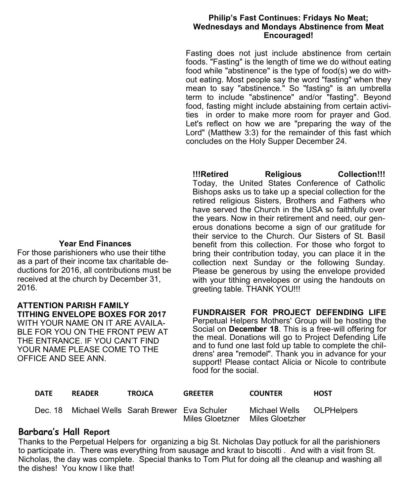#### **Philip's Fast Continues: Fridays No Meat; Wednesdays and Mondays Abstinence from Meat Encouraged!**

Fasting does not just include abstinence from certain foods. "Fasting" is the length of time we do without eating food while "abstinence" is the type of food(s) we do without eating. Most people say the word "fasting" when they mean to say "abstinence." So "fasting" is an umbrella term to include "abstinence" and/or "fasting". Beyond food, fasting might include abstaining from certain activities in order to make more room for prayer and God. Let's reflect on how we are "preparing the way of the Lord" (Matthew 3:3) for the remainder of this fast which concludes on the Holy Supper December 24.

**!!!Retired Religious Collection!!!** Today, the United States Conference of Catholic Bishops asks us to take up a special collection for the retired religious Sisters, Brothers and Fathers who have served the Church in the USA so faithfully over the years. Now in their retirement and need, our generous donations become a sign of our gratitude for their service to the Church. Our Sisters of St. Basil benefit from this collection. For those who forgot to bring their contribution today, you can place it in the collection next Sunday or the following Sunday. Please be generous by using the envelope provided with your tithing envelopes or using the handouts on greeting table. THANK YOU!!!

**FUNDRAISER FOR PROJECT DEFENDING LIFE**  Perpetual Helpers Mothers' Group will be hosting the Social on **December 18**. This is a free-will offering for the meal. Donations will go to Project Defending Life and to fund one last fold up table to complete the childrens' area "remodel". Thank you in advance for your support! Please contact Alicia or Nicole to contribute food for the social.

| <b>DATE</b> | <b>READER</b>                                  | <b>TROJCA</b> | <b>GREETER</b>                  | <b>COUNTER</b>           | <b>HOST</b> |
|-------------|------------------------------------------------|---------------|---------------------------------|--------------------------|-------------|
|             | Dec. 18 Michael Wells Sarah Brewer Eva Schuler |               | Miles Gloetzner Miles Gloetzher | Michael Wells OLPHelpers |             |

# **Barbara's Hall Report**

Thanks to the Perpetual Helpers for organizing a big St. Nicholas Day potluck for all the parishioners to participate in. There was everything from sausage and kraut to biscotti . And with a visit from St. Nicholas, the day was complete. Special thanks to Tom Plut for doing all the cleanup and washing all the dishes! You know I like that!

### **Year End Finances**

For those parishioners who use their tithe as a part of their income tax charitable deductions for 2016, all contributions must be received at the church by December 31, 2016.

## **ATTENTION PARISH FAMILY TITHING ENVELOPE BOXES FOR 2017**

WITH YOUR NAME ON IT ARE AVAILA-BLE FOR YOU ON THE FRONT PEW AT THE ENTRANCE. IF YOU CAN'T FIND YOUR NAME PLEASE COME TO THE OFFICE AND SEE ANN.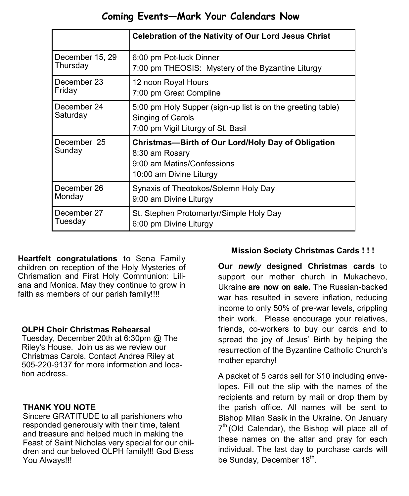# **Coming Events—Mark Your Calendars Now**

|                         | <b>Celebration of the Nativity of Our Lord Jesus Christ</b>                                                                   |  |
|-------------------------|-------------------------------------------------------------------------------------------------------------------------------|--|
| December 15, 29         | 6:00 pm Pot-luck Dinner                                                                                                       |  |
| Thursday                | 7:00 pm THEOSIS: Mystery of the Byzantine Liturgy                                                                             |  |
| December 23             | 12 noon Royal Hours                                                                                                           |  |
| Friday                  | 7:00 pm Great Compline                                                                                                        |  |
| December 24<br>Saturday | 5:00 pm Holy Supper (sign-up list is on the greeting table)<br>Singing of Carols<br>7:00 pm Vigil Liturgy of St. Basil        |  |
| December 25<br>Sunday   | Christmas-Birth of Our Lord/Holy Day of Obligation<br>8:30 am Rosary<br>9:00 am Matins/Confessions<br>10:00 am Divine Liturgy |  |
| December 26             | Synaxis of Theotokos/Solemn Holy Day                                                                                          |  |
| Monday                  | 9:00 am Divine Liturgy                                                                                                        |  |
| December 27             | St. Stephen Protomartyr/Simple Holy Day                                                                                       |  |
| Tuesdav                 | 6:00 pm Divine Liturgy                                                                                                        |  |

**Heartfelt congratulations** to Sena Family children on reception of the Holy Mysteries of Chrismation and First Holy Communion: Liliana and Monica. May they continue to grow in faith as members of our parish family!!!!

### **OLPH Choir Christmas Rehearsal**

Tuesday, December 20th at 6:30pm @ The Riley's House. Join us as we review our Christmas Carols. Contact Andrea Riley at 505-220-9137 for more information and location address.

### **THANK YOU NOTE**

Sincere GRATITUDE to all parishioners who responded generously with their time, talent and treasure and helped much in making the Feast of Saint Nicholas very special for our children and our beloved OLPH family!!! God Bless You Always!!!

# **Mission Society Christmas Cards ! ! !**

**Our** *newly* **designed Christmas cards** to support our mother church in Mukachevo, Ukraine **are now on sale.** The Russian-backed war has resulted in severe inflation, reducing income to only 50% of pre-war levels, crippling their work. Please encourage your relatives, friends, co-workers to buy our cards and to spread the joy of Jesus' Birth by helping the resurrection of the Byzantine Catholic Church's mother eparchy!

A packet of 5 cards sell for \$10 including envelopes. Fill out the slip with the names of the recipients and return by mail or drop them by the parish office. All names will be sent to Bishop Milan Sasik in the Ukraine. On January  $7<sup>th</sup>$  (Old Calendar), the Bishop will place all of these names on the altar and pray for each individual. The last day to purchase cards will be Sunday, December 18 $^{\rm th}$ .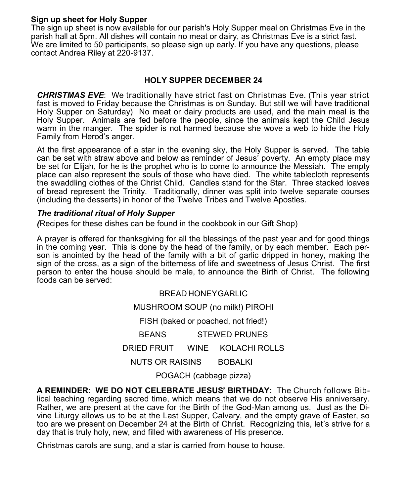#### **Sign up sheet for Holy Supper**

The sign up sheet is now available for our parish's Holy Supper meal on Christmas Eve in the parish hall at 5pm. All dishes will contain no meat or dairy, as Christmas Eve is a strict fast. We are limited to 50 participants, so please sign up early. If you have any questions, please contact Andrea Riley at 220-9137.

### **HOLY SUPPER DECEMBER 24**

*CHRISTMAS EVE*: We traditionally have strict fast on Christmas Eve. (This year strict fast is moved to Friday because the Christmas is on Sunday. But still we will have traditional Holy Supper on Saturday) No meat or dairy products are used, and the main meal is the Holy Supper. Animals are fed before the people, since the animals kept the Child Jesus warm in the manger. The spider is not harmed because she wove a web to hide the Holy Family from Herod's anger.

At the first appearance of a star in the evening sky, the Holy Supper is served. The table can be set with straw above and below as reminder of Jesus' poverty. An empty place may be set for Elijah, for he is the prophet who is to come to announce the Messiah. The empty place can also represent the souls of those who have died. The white tablecloth represents the swaddling clothes of the Christ Child. Candles stand for the Star. Three stacked loaves of bread represent the Trinity. Traditionally, dinner was split into twelve separate courses (including the desserts) in honor of the Twelve Tribes and Twelve Apostles.

#### *The traditional ritual of Holy Supper*

*(*Recipes for these dishes can be found in the cookbook in our Gift Shop)

A prayer is offered for thanksgiving for all the blessings of the past year and for good things in the coming year. This is done by the head of the family, or by each member. Each person is anointed by the head of the family with a bit of garlic dripped in honey, making the sign of the cross, as a sign of the bitterness of life and sweetness of Jesus Christ. The first person to enter the house should be male, to announce the Birth of Christ. The following foods can be served:

> BREAD HONEYGARLIC MUSHROOM SOUP (no milk!) PIROHI FISH (baked or poached, not fried!) BEANS STEWED PRUNES DRIED FRUIT WINE KOLACHI ROLLS NUTS OR RAISINS BOBALKI POGACH (cabbage pizza)

**A REMINDER: WE DO NOT CELEBRATE JESUS' BIRTHDAY:** The Church follows Biblical teaching regarding sacred time, which means that we do not observe His anniversary. Rather, we are present at the cave for the Birth of the God-Man among us. Just as the Divine Liturgy allows us to be at the Last Supper, Calvary, and the empty grave of Easter, so too are we present on December 24 at the Birth of Christ. Recognizing this, let's strive for a day that is truly holy, new, and filled with awareness of His presence.

Christmas carols are sung, and a star is carried from house to house.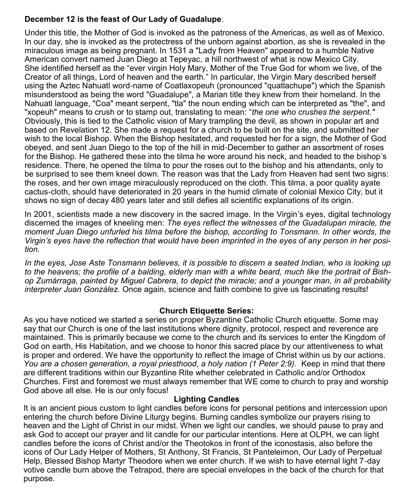## **December 12 is the feast of Our Lady of Guadalupe**.

Under this title, the Mother of God is invoked as the patroness of the Americas, as well as of Mexico. In our day, she is invoked as the protectress of the unborn against abortion, as she is revealed in the miraculous image as being pregnant. In 1531 a "Lady from Heaven" appeared to a humble Native American convert named Juan Diego at Tepeyac, a hill northwest of what is now Mexico City. She identified herself as the "ever virgin Holy Mary, Mother of the True God for whom we live, of the Creator of all things, Lord of heaven and the earth." In particular, the Virgin Mary described herself using the Aztec Nahuatl word-name of [Coatlaxopeuh](http://en.wikipedia.org/wiki/Coatlaxopeuh) (pronounced "quatlachupe") which the Spanish misunderstood as being the word "Guadalupe", a Marian title they knew from their homeland. In the Nahuatl language, "Coa" meant serpent, "tla" the noun ending which can be interpreted as "the", and "xopeuh" means to crush or to stamp out, translating to mean: "*the one who crushes the serpent."* Obviously, this is tied to the Catholic vision of Mary trampling the devil, as shown in popular art and based on Revelation 12. She made a request for a church to be built on the site, and submitted her wish to the local Bishop. When the Bishop hesitated, and requested her for a sign, the Mother of God obeyed, and sent Juan Diego to the top of the hill in mid-December to gather an assortment of roses for the Bishop. He gathered these into the tilma he wore around his neck, and headed to the bishop's residence. There, he opened the tilma to pour the roses out to the bishop and his attendants, only to be surprised to see them kneel down. The reason was that the Lady from Heaven had sent two signs: the roses, and her own image miraculously reproduced on the cloth. This tilma, a poor quality ayate cactus-cloth, should have deteriorated in 20 years in the humid climate of colonial Mexico City, but it shows no sign of decay 480 years later and still defies all scientific explanations of its origin.

In 2001, scientists made a new discovery in the sacred image. In the Virgin's eyes, digital technology discerned the images of kneeling men: *The eyes reflect the witnesses of the Guadalupan miracle, the moment Juan Diego unfurled his tilma before the bishop, according to Tonsmann. In other words, the Virgin's eyes have the reflection that would have been imprinted in the eyes of any person in her position.*

*In the eyes, Jose Aste Tonsmann believes, it is possible to discern a seated Indian, who is looking up to the heavens; the profile of a balding, elderly man with a white beard, much like the portrait of Bishop Zumárraga, painted by Miguel Cabrera, to depict the miracle; and a younger man, in all probability interpreter Juan González.* Once again, science and faith combine to give us fascinating results!

### **Church Etiquette Series:**

As you have noticed we started a series on proper Byzantine Catholic Church etiquette. Some may say that our Church is one of the last institutions where dignity, protocol, respect and reverence are maintained. This is primarily because we come to the church and its services to enter the Kingdom of God on earth, His Habitation, and we choose to honor this sacred place by our attentiveness to what is proper and ordered. We have the opportunity to reflect the image of Christ within us by our actions. *You are a chosen generation, a royal priesthood, a holy nation (1 Peter 2:9).* Keep in mind that there are different traditions within our Byzantine Rite whether celebrated in Catholic and/or Orthodox Churches. First and foremost we must always remember that WE come to church to pray and worship God above all else. He is our only focus!

#### **Lighting Candles**

It is an ancient pious custom to light candles before icons for personal petitions and intercession upon entering the church before Divine Liturgy begins. Burning candles symbolize our prayers rising to heaven and the Light of Christ in our midst. When we light our candles, we should pause to pray and ask God to accept our prayer and lit candle for our particular intentions. Here at OLPH, we can light candles before the icons of Christ and/or the Theotokos in front of the iconostasis, also before the icons of Our Lady Helper of Mothers, St Anthony, St Francis, St Panteleimon, Our Lady of Perpetual Help, Blessed Bishop Martyr Theodore when we enter church. If we wish to have eternal light 7-day votive candle burn above the Tetrapod, there are special envelopes in the back of the church for that purpose.